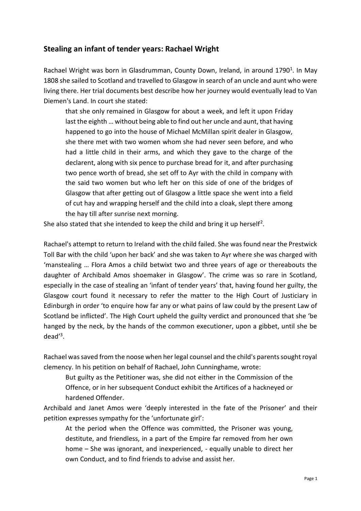## **Stealing an infant of tender years: Rachael Wright**

Rachael Wright was born in Glasdrumman, County Down, Ireland, in around 1790<sup>1</sup>. In May 1808 she sailed to Scotland and travelled to Glasgow in search of an uncle and aunt who were living there. Her trial documents best describe how her journey would eventually lead to Van Diemen's Land. In court she stated:

that she only remained in Glasgow for about a week, and left it upon Friday last the eighth … without being able to find out her uncle and aunt, that having happened to go into the house of Michael McMillan spirit dealer in Glasgow, she there met with two women whom she had never seen before, and who had a little child in their arms, and which they gave to the charge of the declarent, along with six pence to purchase bread for it, and after purchasing two pence worth of bread, she set off to Ayr with the child in company with the said two women but who left her on this side of one of the bridges of Glasgow that after getting out of Glasgow a little space she went into a field of cut hay and wrapping herself and the child into a cloak, slept there among the hay till after sunrise next morning.

She also stated that she intended to keep the child and bring it up herself<sup>2</sup>.

Rachael's attempt to return to Ireland with the child failed. She was found near the Prestwick Toll Bar with the child 'upon her back' and she was taken to Ayr where she was charged with 'manstealing … Flora Amos a child betwixt two and three years of age or thereabouts the daughter of Archibald Amos shoemaker in Glasgow'. The crime was so rare in Scotland, especially in the case of stealing an 'infant of tender years' that, having found her guilty, the Glasgow court found it necessary to refer the matter to the High Court of Justiciary in Edinburgh in order 'to enquire how far any or what pains of law could by the present Law of Scotland be inflicted'. The High Court upheld the guilty verdict and pronounced that she 'be hanged by the neck, by the hands of the common executioner, upon a gibbet, until she be dead'<sup>3</sup> .

Rachael was saved from the noose when her legal counsel and the child's parents sought royal clemency. In his petition on behalf of Rachael, John Cunninghame, wrote:

But guilty as the Petitioner was, she did not either in the Commission of the Offence, or in her subsequent Conduct exhibit the Artifices of a hackneyed or hardened Offender.

Archibald and Janet Amos were 'deeply interested in the fate of the Prisoner' and their petition expresses sympathy for the 'unfortunate girl':

At the period when the Offence was committed, the Prisoner was young, destitute, and friendless, in a part of the Empire far removed from her own home – She was ignorant, and inexperienced, - equally unable to direct her own Conduct, and to find friends to advise and assist her.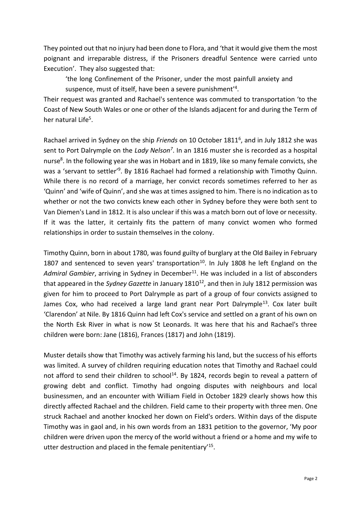They pointed out that no injury had been done to Flora, and 'that it would give them the most poignant and irreparable distress, if the Prisoners dreadful Sentence were carried unto Execution'. They also suggested that:

'the long Confinement of the Prisoner, under the most painfull anxiety and suspence, must of itself, have been a severe punishment<sup>'4</sup>.

Their request was granted and Rachael's sentence was commuted to transportation 'to the Coast of New South Wales or one or other of the Islands adjacent for and during the Term of her natural Life<sup>5</sup>.

Rachael arrived in Sydney on the ship *Friends* on 10 October 1811<sup>6</sup>, and in July 1812 she was sent to Port Dalrymple on the *Lady Nelson<sup>7</sup>* . In an 1816 muster she is recorded as a hospital nurse<sup>8</sup>. In the following year she was in Hobart and in 1819, like so many female convicts, she was a 'servant to settler'<sup>9</sup>. By 1816 Rachael had formed a relationship with Timothy Quinn. While there is no record of a marriage, her convict records sometimes referred to her as 'Quinn' and 'wife of Quinn', and she was at times assigned to him. There is no indication as to whether or not the two convicts knew each other in Sydney before they were both sent to Van Diemen's Land in 1812. It is also unclear if this was a match born out of love or necessity. If it was the latter, it certainly fits the pattern of many convict women who formed relationships in order to sustain themselves in the colony.

Timothy Quinn, born in about 1780, was found guilty of burglary at the Old Bailey in February 1807 and sentenced to seven years' transportation<sup>10</sup>. In July 1808 he left England on the Admiral Gambier, arriving in Sydney in December<sup>11</sup>. He was included in a list of absconders that appeared in the *Sydney Gazette* in January 1810<sup>12</sup>, and then in July 1812 permission was given for him to proceed to Port Dalrymple as part of a group of four convicts assigned to James Cox, who had received a large land grant near Port Dalrymple<sup>13</sup>. Cox later built 'Clarendon' at Nile. By 1816 Quinn had left Cox's service and settled on a grant of his own on the North Esk River in what is now St Leonards. It was here that his and Rachael's three children were born: Jane (1816), Frances (1817) and John (1819).

Muster details show that Timothy was actively farming his land, but the success of his efforts was limited. A survey of children requiring education notes that Timothy and Rachael could not afford to send their children to school<sup>14</sup>. By 1824, records begin to reveal a pattern of growing debt and conflict. Timothy had ongoing disputes with neighbours and local businessmen, and an encounter with William Field in October 1829 clearly shows how this directly affected Rachael and the children. Field came to their property with three men. One struck Rachael and another knocked her down on Field's orders. Within days of the dispute Timothy was in gaol and, in his own words from an 1831 petition to the governor, 'My poor children were driven upon the mercy of the world without a friend or a home and my wife to utter destruction and placed in the female penitentiary<sup>15</sup>.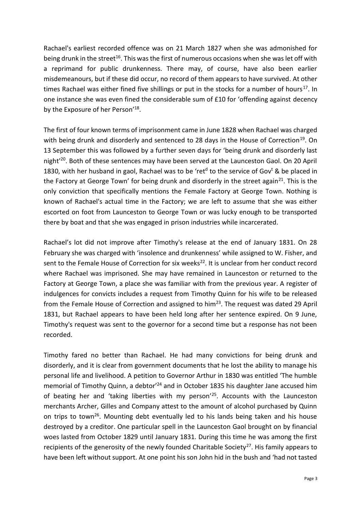Rachael's earliest recorded offence was on 21 March 1827 when she was admonished for being drunk in the street<sup>16</sup>. This was the first of numerous occasions when she was let off with a reprimand for public drunkenness. There may, of course, have also been earlier misdemeanours, but if these did occur, no record of them appears to have survived. At other times Rachael was either fined five shillings or put in the stocks for a number of hours<sup>17</sup>. In one instance she was even fined the considerable sum of £10 for 'offending against decency by the Exposure of her Person'<sup>18</sup>.

The first of four known terms of imprisonment came in June 1828 when Rachael was charged with being drunk and disorderly and sentenced to 28 days in the House of Correction<sup>19</sup>. On 13 September this was followed by a further seven days for 'being drunk and disorderly last night<sup>'20</sup>. Both of these sentences may have been served at the Launceston Gaol. On 20 April 1830, with her husband in gaol, Rachael was to be 'ret<sup>d</sup> to the service of Gov<sup>t</sup> & be placed in the Factory at George Town' for being drunk and disorderly in the street again<sup>21</sup>. This is the only conviction that specifically mentions the Female Factory at George Town. Nothing is known of Rachael's actual time in the Factory; we are left to assume that she was either escorted on foot from Launceston to George Town or was lucky enough to be transported there by boat and that she was engaged in prison industries while incarcerated.

Rachael's lot did not improve after Timothy's release at the end of January 1831. On 28 February she was charged with 'insolence and drunkenness' while assigned to W. Fisher, and sent to the Female House of Correction for six weeks<sup>22</sup>. It is unclear from her conduct record where Rachael was imprisoned. She may have remained in Launceston or returned to the Factory at George Town, a place she was familiar with from the previous year. A register of indulgences for convicts includes a request from Timothy Quinn for his wife to be released from the Female House of Correction and assigned to  $him<sup>23</sup>$ . The request was dated 29 April 1831, but Rachael appears to have been held long after her sentence expired. On 9 June, Timothy's request was sent to the governor for a second time but a response has not been recorded.

Timothy fared no better than Rachael. He had many convictions for being drunk and disorderly, and it is clear from government documents that he lost the ability to manage his personal life and livelihood. A petition to Governor Arthur in 1830 was entitled 'The humble memorial of Timothy Quinn, a debtor<sup>'24</sup> and in October 1835 his daughter Jane accused him of beating her and 'taking liberties with my person'<sup>25</sup>. Accounts with the Launceston merchants Archer, Gilles and Company attest to the amount of alcohol purchased by Quinn on trips to town<sup>26</sup>. Mounting debt eventually led to his lands being taken and his house destroyed by a creditor. One particular spell in the Launceston Gaol brought on by financial woes lasted from October 1829 until January 1831. During this time he was among the first recipients of the generosity of the newly founded Charitable Society<sup>27</sup>. His family appears to have been left without support. At one point his son John hid in the bush and 'had not tasted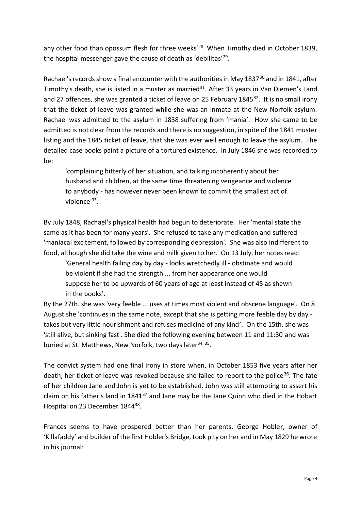any other food than opossum flesh for three weeks<sup>'28</sup>. When Timothy died in October 1839, the hospital messenger gave the cause of death as 'debilitas'<sup>29</sup>.

Rachael's records show a final encounter with the authorities in May 1837<sup>30</sup> and in 1841, after Timothy's death, she is listed in a muster as married $31$ . After 33 years in Van Diemen's Land and 27 offences, she was granted a ticket of leave on 25 February 1845 $32$ . It is no small irony that the ticket of leave was granted while she was an inmate at the New Norfolk asylum. Rachael was admitted to the asylum in 1838 suffering from 'mania'. How she came to be admitted is not clear from the records and there is no suggestion, in spite of the 1841 muster listing and the 1845 ticket of leave, that she was ever well enough to leave the asylum. The detailed case books paint a picture of a tortured existence. In July 1846 she was recorded to be:

'complaining bitterly of her situation, and talking incoherently about her husband and children, at the same time threatening vengeance and violence to anybody - has however never been known to commit the smallest act of violence'<sup>33</sup>.

By July 1848, Rachael's physical health had begun to deteriorate. Her 'mental state the same as it has been for many years'. She refused to take any medication and suffered 'maniacal excitement, followed by corresponding depression'. She was also indifferent to food, although she did take the wine and milk given to her. On 13 July, her notes read:

'General health failing day by day - looks wretchedly ill - obstinate and would be violent if she had the strength ... from her appearance one would suppose her to be upwards of 60 years of age at least instead of 45 as shewn in the books'.

By the 27th. she was 'very feeble ... uses at times most violent and obscene language'. On 8 August she 'continues in the same note, except that she is getting more feeble day by day takes but very little nourishment and refuses medicine of any kind'. On the 15th. she was 'still alive, but sinking fast'. She died the following evening between 11 and 11:30 and was buried at St. Matthews, New Norfolk, two days later<sup>34, 35</sup>.

The convict system had one final irony in store when, in October 1853 five years after her death, her ticket of leave was revoked because she failed to report to the police<sup>36</sup>. The fate of her children Jane and John is yet to be established. John was still attempting to assert his claim on his father's land in 1841<sup>37</sup> and Jane may be the Jane Quinn who died in the Hobart Hospital on 23 December 1844<sup>38</sup>.

Frances seems to have prospered better than her parents. George Hobler, owner of 'Killafaddy' and builder of the first Hobler's Bridge, took pity on her and in May 1829 he wrote in his journal: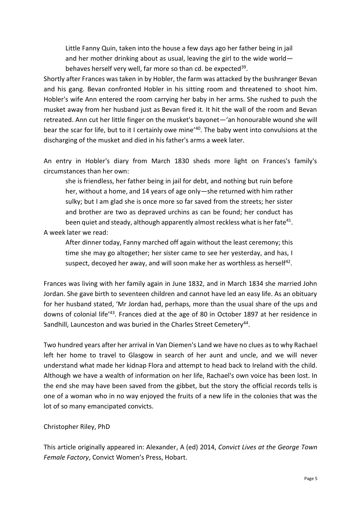Little Fanny Quin, taken into the house a few days ago her father being in jail and her mother drinking about as usual, leaving the girl to the wide world behaves herself very well, far more so than cd. be expected<sup>39</sup>.

Shortly after Frances was taken in by Hobler, the farm was attacked by the bushranger Bevan and his gang. Bevan confronted Hobler in his sitting room and threatened to shoot him. Hobler's wife Ann entered the room carrying her baby in her arms. She rushed to push the musket away from her husband just as Bevan fired it. It hit the wall of the room and Bevan retreated. Ann cut her little finger on the musket's bayonet—'an honourable wound she will bear the scar for life, but to it I certainly owe mine<sup>'40</sup>. The baby went into convulsions at the discharging of the musket and died in his father's arms a week later.

An entry in Hobler's diary from March 1830 sheds more light on Frances's family's circumstances than her own:

she is friendless, her father being in jail for debt, and nothing but ruin before her, without a home, and 14 years of age only—she returned with him rather sulky; but I am glad she is once more so far saved from the streets; her sister and brother are two as depraved urchins as can be found; her conduct has been quiet and steady, although apparently almost reckless what is her fate<sup>41</sup>.

A week later we read:

After dinner today, Fanny marched off again without the least ceremony; this time she may go altogether; her sister came to see her yesterday, and has, I suspect, decoyed her away, and will soon make her as worthless as herself<sup>42</sup>.

Frances was living with her family again in June 1832, and in March 1834 she married John Jordan. She gave birth to seventeen children and cannot have led an easy life. As an obituary for her husband stated, 'Mr Jordan had, perhaps, more than the usual share of the ups and downs of colonial life'<sup>43</sup>. Frances died at the age of 80 in October 1897 at her residence in Sandhill, Launceston and was buried in the Charles Street Cemetery<sup>44</sup>.

Two hundred years after her arrival in Van Diemen's Land we have no clues as to why Rachael left her home to travel to Glasgow in search of her aunt and uncle, and we will never understand what made her kidnap Flora and attempt to head back to Ireland with the child. Although we have a wealth of information on her life, Rachael's own voice has been lost. In the end she may have been saved from the gibbet, but the story the official records tells is one of a woman who in no way enjoyed the fruits of a new life in the colonies that was the lot of so many emancipated convicts.

## Christopher Riley, PhD

This article originally appeared in: Alexander, A (ed) 2014, *Convict Lives at the George Town Female Factory*, Convict Women's Press, Hobart.